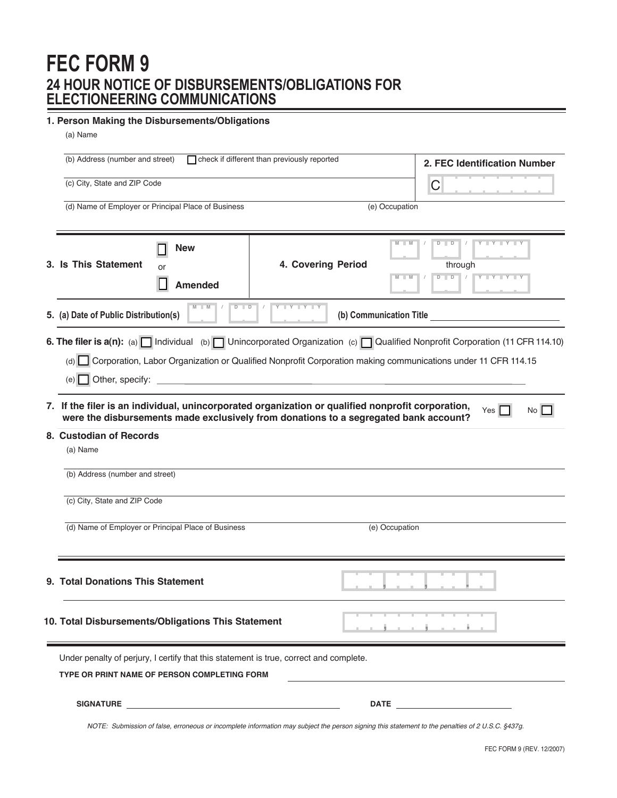# **FEC FORM 9 24 HOUR NOTICE OF DISBURSEMENTS/OBLIGATIONS FOR ELECTIONEERING COMMUNICATIONS**

### **1. Person Making the Disbursements/Obligations**

| (a) Name                                                                                                                                                                                                                                                                                                       |                                                                                                                                                                                           |                              |                                                           |  |  |  |
|----------------------------------------------------------------------------------------------------------------------------------------------------------------------------------------------------------------------------------------------------------------------------------------------------------------|-------------------------------------------------------------------------------------------------------------------------------------------------------------------------------------------|------------------------------|-----------------------------------------------------------|--|--|--|
| check if different than previously reported<br>(b) Address (number and street)                                                                                                                                                                                                                                 |                                                                                                                                                                                           | 2. FEC Identification Number |                                                           |  |  |  |
| (c) City, State and ZIP Code                                                                                                                                                                                                                                                                                   |                                                                                                                                                                                           | С                            |                                                           |  |  |  |
| (d) Name of Employer or Principal Place of Business                                                                                                                                                                                                                                                            | (e) Occupation                                                                                                                                                                            |                              |                                                           |  |  |  |
| <b>New</b><br>3. Is This Statement<br>or<br><b>Amended</b>                                                                                                                                                                                                                                                     | 4. Covering Period                                                                                                                                                                        | $M$ $M$<br>$\blacksquare$ M  | $D$ $D$<br>Y Y Y Y<br>through<br>$D$ $D$ /<br>Y Y Y Y Y Y |  |  |  |
| $M$ $M$<br>$D$ $D$<br>5. (a) Date of Public Distribution(s)                                                                                                                                                                                                                                                    | Y Y Y Y Y                                                                                                                                                                                 |                              | (b) Communication Title (b)                               |  |  |  |
| 6. The filer is $a(n)$ : (a) $\Box$ Individual (b) $\Box$ Unincorporated Organization (c) $\Box$ Qualified Nonprofit Corporation (11 CFR 114.10)<br>Corporation, Labor Organization or Qualified Nonprofit Corporation making communications under 11 CFR 114.15<br>(d)<br>(e) Other, specify: $\qquad \qquad$ |                                                                                                                                                                                           |                              |                                                           |  |  |  |
| 8. Custodian of Records<br>(a) Name                                                                                                                                                                                                                                                                            | 7. If the filer is an individual, unincorporated organization or qualified nonprofit corporation,<br>were the disbursements made exclusively from donations to a segregated bank account? |                              | Yes<br>No <sub>1</sub>                                    |  |  |  |
| (b) Address (number and street)                                                                                                                                                                                                                                                                                |                                                                                                                                                                                           |                              |                                                           |  |  |  |
| (c) City, State and ZIP Code                                                                                                                                                                                                                                                                                   |                                                                                                                                                                                           |                              |                                                           |  |  |  |
| (d) Name of Employer or Principal Place of Business                                                                                                                                                                                                                                                            |                                                                                                                                                                                           | (e) Occupation               |                                                           |  |  |  |
| 9. Total Donations This Statement                                                                                                                                                                                                                                                                              |                                                                                                                                                                                           |                              |                                                           |  |  |  |
| 10. Total Disbursements/Obligations This Statement                                                                                                                                                                                                                                                             |                                                                                                                                                                                           |                              | <u>.</u>                                                  |  |  |  |
| Under penalty of perjury, I certify that this statement is true, correct and complete.<br><b>TYPE OR PRINT NAME OF PERSON COMPLETING FORM</b>                                                                                                                                                                  |                                                                                                                                                                                           |                              |                                                           |  |  |  |
|                                                                                                                                                                                                                                                                                                                |                                                                                                                                                                                           |                              |                                                           |  |  |  |
| NOTE: Submission of false, erroneous or incomplete information may subject the person signing this statement to the penalties of 2 U.S.C. §437g.                                                                                                                                                               |                                                                                                                                                                                           |                              |                                                           |  |  |  |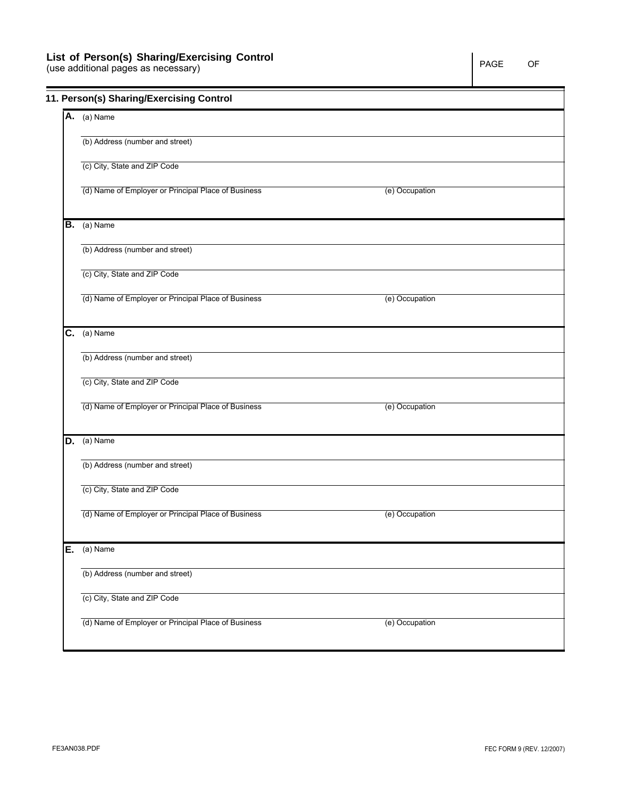## **List of Person(s) Sharing/Exercising Control**

(use additional pages as necessary)

|    | 11. Person(s) Sharing/Exercising Control            |                |  |
|----|-----------------------------------------------------|----------------|--|
|    | A. (a) Name                                         |                |  |
|    | (b) Address (number and street)                     |                |  |
|    | (c) City, State and ZIP Code                        |                |  |
|    | (d) Name of Employer or Principal Place of Business | (e) Occupation |  |
|    | $B.$ (a) Name                                       |                |  |
|    | (b) Address (number and street)                     |                |  |
|    | (c) City, State and ZIP Code                        |                |  |
|    | (d) Name of Employer or Principal Place of Business | (e) Occupation |  |
|    | $\overline{C.}$ (a) Name                            |                |  |
|    | (b) Address (number and street)                     |                |  |
|    | (c) City, State and ZIP Code                        |                |  |
|    | (d) Name of Employer or Principal Place of Business | (e) Occupation |  |
| D. | (a) Name                                            |                |  |
|    | (b) Address (number and street)                     |                |  |
|    | (c) City, State and ZIP Code                        |                |  |
|    | (d) Name of Employer or Principal Place of Business | (e) Occupation |  |
| Ε. | (a) Name                                            |                |  |
|    | (b) Address (number and street)                     |                |  |
|    | (c) City, State and ZIP Code                        |                |  |
|    | (d) Name of Employer or Principal Place of Business | (e) Occupation |  |
|    |                                                     |                |  |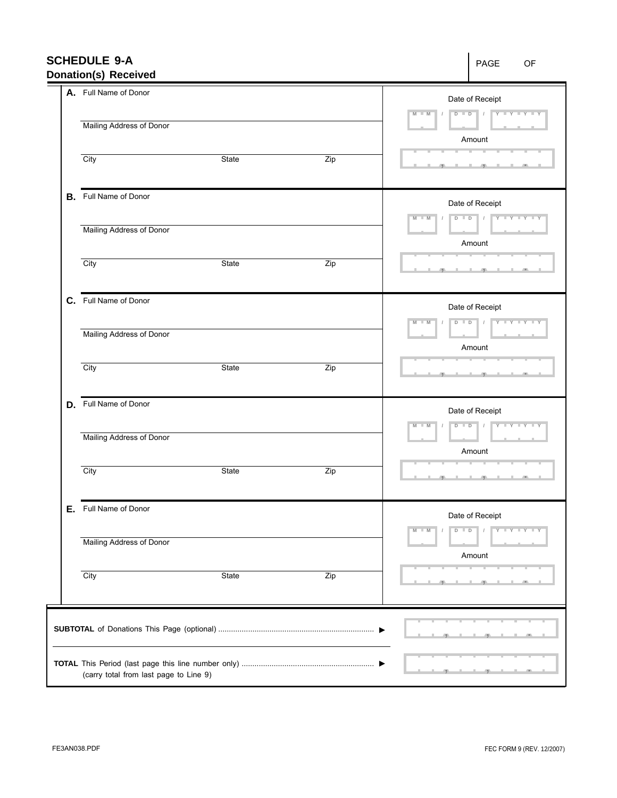| <b>SCHEDULE 9-A</b><br><b>Donation(s) Received</b> |       |                                                | PAGE<br>OF                                                                                                                                                                                                           |  |  |
|----------------------------------------------------|-------|------------------------------------------------|----------------------------------------------------------------------------------------------------------------------------------------------------------------------------------------------------------------------|--|--|
| A. Full Name of Donor                              |       |                                                | Date of Receipt<br>$\begin{array}{c c c c c c c c} \hline \rule{0pt}{1ex} \mathsf{D} & \mathsf{I} & \mathsf{I} & \mathsf{I} & \mathsf{Y} & \mathsf{I} & \mathsf{Y} & \mathsf{I} & \mathsf{Y} \end{array}$<br>$M - M$ |  |  |
| Mailing Address of Donor                           |       |                                                | Amount                                                                                                                                                                                                               |  |  |
| $\overline{City}$                                  | State | Zip                                            | $-1$                                                                                                                                                                                                                 |  |  |
| <b>B.</b> Full Name of Donor                       |       |                                                | Date of Receipt<br>$\blacksquare$ M<br>M                                                                                                                                                                             |  |  |
| Mailing Address of Donor                           |       |                                                | Amount                                                                                                                                                                                                               |  |  |
| $\overline{City}$                                  | State | Zip                                            | $\mathbb{R}$<br>49                                                                                                                                                                                                   |  |  |
| C. Full Name of Donor                              |       |                                                | Date of Receipt<br>$D$ $D$ $I$<br>$Y - Y - Y - Y - Y$<br>$-M$<br>M                                                                                                                                                   |  |  |
| Mailing Address of Donor                           |       |                                                | Amount                                                                                                                                                                                                               |  |  |
| City                                               | State | Zip                                            |                                                                                                                                                                                                                      |  |  |
| D. Full Name of Donor                              |       |                                                | Date of Receipt<br>$D - D - J - J - Y - Y - Y - Y - Y$<br>M<br>$-M$                                                                                                                                                  |  |  |
| Mailing Address of Donor                           |       |                                                | Amount                                                                                                                                                                                                               |  |  |
| $\overline{City}$                                  | State | Zip                                            |                                                                                                                                                                                                                      |  |  |
| E. Full Name of Donor                              |       |                                                | Date of Receipt                                                                                                                                                                                                      |  |  |
| Mailing Address of Donor                           |       | $Y - Y - Y - Y$<br>M<br>M<br>$D$ $D$<br>Amount |                                                                                                                                                                                                                      |  |  |
| City                                               | State | Zip                                            |                                                                                                                                                                                                                      |  |  |
|                                                    |       |                                                |                                                                                                                                                                                                                      |  |  |
|                                                    |       |                                                |                                                                                                                                                                                                                      |  |  |
| (carry total from last page to Line 9)             |       |                                                |                                                                                                                                                                                                                      |  |  |